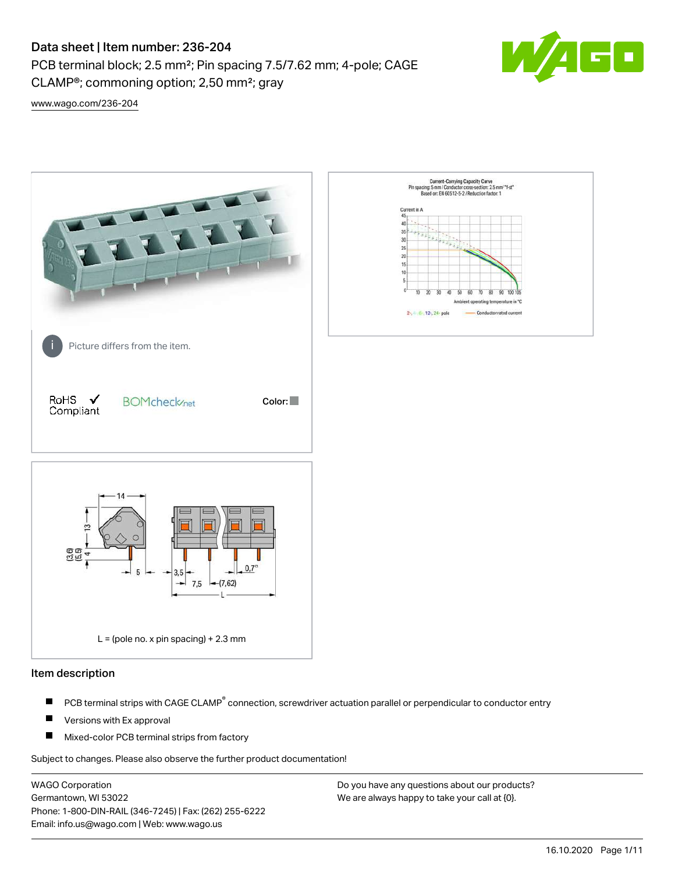PCB terminal block; 2.5 mm²; Pin spacing 7.5/7.62 mm; 4-pole; CAGE CLAMP®; commoning option; 2,50 mm²; gray



[www.wago.com/236-204](http://www.wago.com/236-204)



#### Item description

- PCB terminal strips with CAGE CLAMP<sup>®</sup> connection, screwdriver actuation parallel or perpendicular to conductor entry П
- П Versions with Ex approval
- П Mixed-color PCB terminal strips from factory

Subject to changes. Please also observe the further product documentation!

WAGO Corporation Germantown, WI 53022 Phone: 1-800-DIN-RAIL (346-7245) | Fax: (262) 255-6222 Email: info.us@wago.com | Web: www.wago.us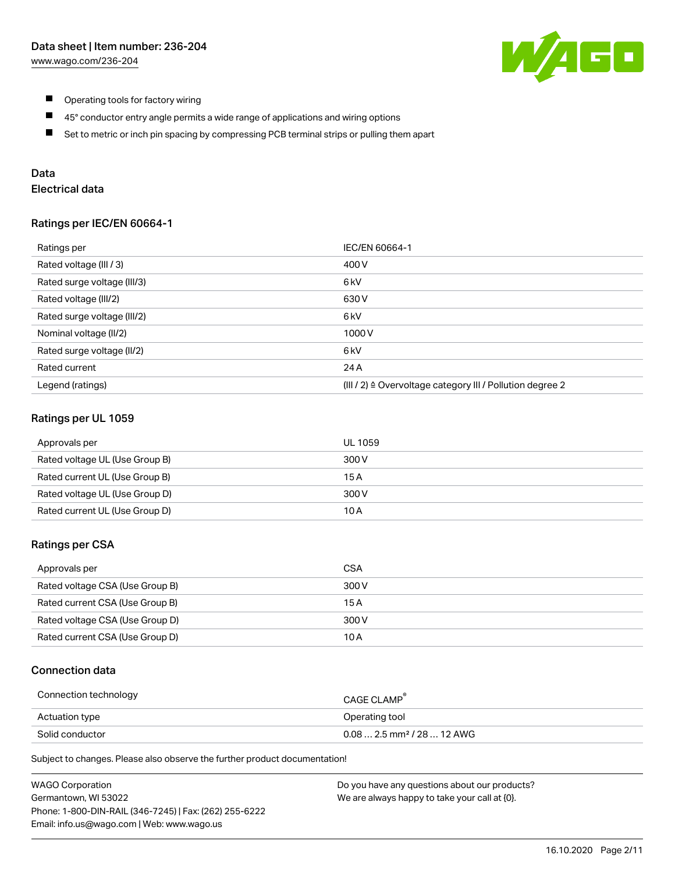

- $\blacksquare$ Operating tools for factory wiring
- $\blacksquare$ 45° conductor entry angle permits a wide range of applications and wiring options
- $\blacksquare$ Set to metric or inch pin spacing by compressing PCB terminal strips or pulling them apart

### Data

# Electrical data

#### Ratings per IEC/EN 60664-1

| Ratings per                 | IEC/EN 60664-1                                                        |
|-----------------------------|-----------------------------------------------------------------------|
| Rated voltage (III / 3)     | 400 V                                                                 |
| Rated surge voltage (III/3) | 6 <sub>kV</sub>                                                       |
| Rated voltage (III/2)       | 630 V                                                                 |
| Rated surge voltage (III/2) | 6 <sub>k</sub> V                                                      |
| Nominal voltage (II/2)      | 1000V                                                                 |
| Rated surge voltage (II/2)  | 6 kV                                                                  |
| Rated current               | 24 A                                                                  |
| Legend (ratings)            | $(III / 2)$ $\triangle$ Overvoltage category III / Pollution degree 2 |

### Ratings per UL 1059

| Approvals per                  | UL 1059 |
|--------------------------------|---------|
| Rated voltage UL (Use Group B) | 300 V   |
| Rated current UL (Use Group B) | 15 A    |
| Rated voltage UL (Use Group D) | 300 V   |
| Rated current UL (Use Group D) | 10 A    |

#### Ratings per CSA

| Approvals per                   | CSA   |
|---------------------------------|-------|
| Rated voltage CSA (Use Group B) | 300 V |
| Rated current CSA (Use Group B) | 15 A  |
| Rated voltage CSA (Use Group D) | 300 V |
| Rated current CSA (Use Group D) | 10 A  |

### Connection data

| Connection technology | CAGE CLAMP                              |
|-----------------------|-----------------------------------------|
| Actuation type        | Operating tool                          |
| Solid conductor       | $0.08$ 2.5 mm <sup>2</sup> / 28  12 AWG |

Subject to changes. Please also observe the further product documentation!

| <b>WAGO Corporation</b>                                | Do you have any questions about our products? |
|--------------------------------------------------------|-----------------------------------------------|
| Germantown, WI 53022                                   | We are always happy to take your call at {0}. |
| Phone: 1-800-DIN-RAIL (346-7245)   Fax: (262) 255-6222 |                                               |
| Email: info.us@wago.com   Web: www.wago.us             |                                               |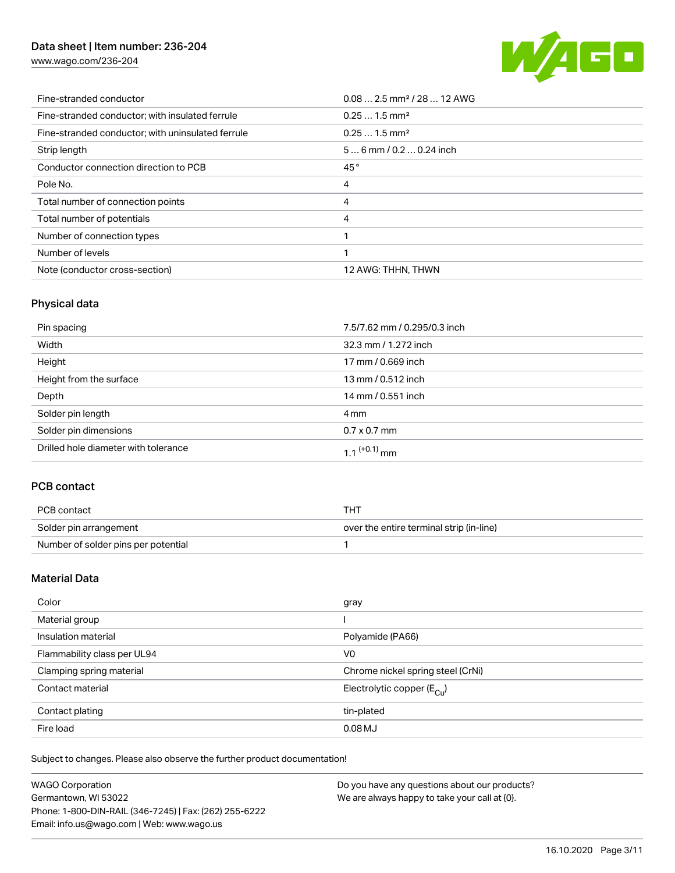[www.wago.com/236-204](http://www.wago.com/236-204)



| Fine-stranded conductor                           | $0.08$ 2.5 mm <sup>2</sup> / 28  12 AWG |
|---------------------------------------------------|-----------------------------------------|
| Fine-stranded conductor; with insulated ferrule   | $0.251.5$ mm <sup>2</sup>               |
| Fine-stranded conductor; with uninsulated ferrule | $0.251.5$ mm <sup>2</sup>               |
| Strip length                                      | $56$ mm $/ 0.20.24$ inch                |
| Conductor connection direction to PCB             | 45°                                     |
| Pole No.                                          | 4                                       |
| Total number of connection points                 | 4                                       |
| Total number of potentials                        | 4                                       |
| Number of connection types                        |                                         |
| Number of levels                                  | ◀                                       |
| Note (conductor cross-section)                    | 12 AWG: THHN, THWN                      |

## Physical data

| Pin spacing                          | 7.5/7.62 mm / 0.295/0.3 inch |
|--------------------------------------|------------------------------|
| Width                                | 32.3 mm / 1.272 inch         |
| Height                               | 17 mm / 0.669 inch           |
| Height from the surface              | 13 mm / 0.512 inch           |
| Depth                                | 14 mm / 0.551 inch           |
| Solder pin length                    | 4 mm                         |
| Solder pin dimensions                | $0.7 \times 0.7$ mm          |
| Drilled hole diameter with tolerance | $1.1$ <sup>(+0.1)</sup> mm   |

### PCB contact

| PCB contact                         | THT                                      |
|-------------------------------------|------------------------------------------|
| Solder pin arrangement              | over the entire terminal strip (in-line) |
| Number of solder pins per potential |                                          |

### Material Data

| Color                       | gray                                    |
|-----------------------------|-----------------------------------------|
| Material group              |                                         |
| Insulation material         | Polyamide (PA66)                        |
| Flammability class per UL94 | V <sub>0</sub>                          |
| Clamping spring material    | Chrome nickel spring steel (CrNi)       |
| Contact material            | Electrolytic copper ( $E_{\text{Cu}}$ ) |
| Contact plating             | tin-plated                              |
| Fire load                   | $0.08$ MJ                               |

Subject to changes. Please also observe the further product documentation!

| <b>WAGO Corporation</b>                                | Do you have any questions about our products? |
|--------------------------------------------------------|-----------------------------------------------|
| Germantown, WI 53022                                   | We are always happy to take your call at {0}. |
| Phone: 1-800-DIN-RAIL (346-7245)   Fax: (262) 255-6222 |                                               |
| Email: info.us@wago.com   Web: www.wago.us             |                                               |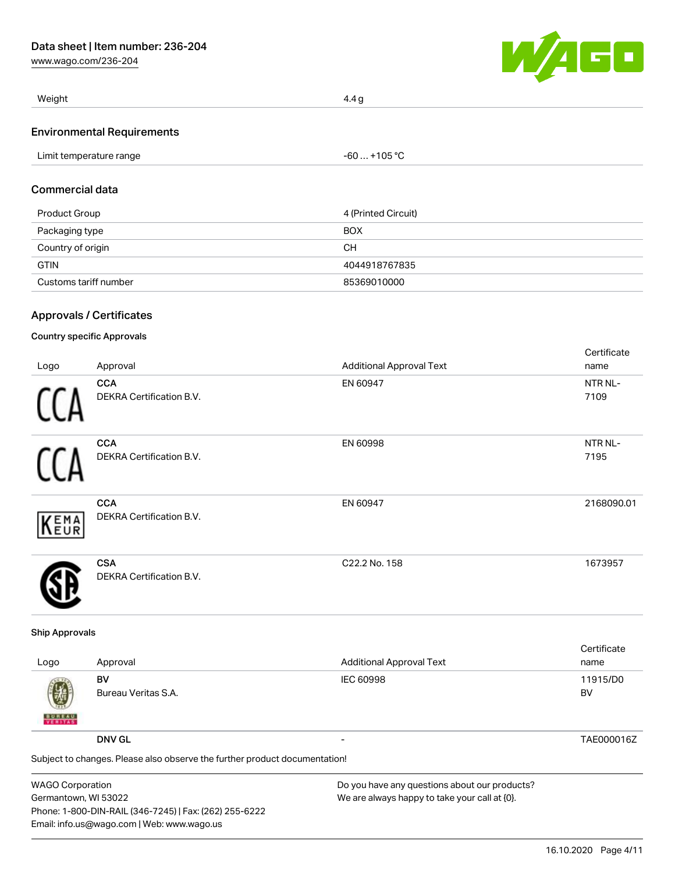[www.wago.com/236-204](http://www.wago.com/236-204)



| Weight                            | 4.4 g        |  |
|-----------------------------------|--------------|--|
| <b>Environmental Requirements</b> |              |  |
| Limit temperature range           | -60  +105 °C |  |

#### Commercial data

| Product Group         | 4 (Printed Circuit) |
|-----------------------|---------------------|
| Packaging type        | <b>BOX</b>          |
| Country of origin     | CН                  |
| <b>GTIN</b>           | 4044918767835       |
| Customs tariff number | 85369010000         |

#### Approvals / Certificates

#### Country specific Approvals

|      |                                 |                                 | Certificate |
|------|---------------------------------|---------------------------------|-------------|
| Logo | Approval                        | <b>Additional Approval Text</b> | name        |
|      | <b>CCA</b>                      | EN 60947                        | NTR NL-     |
|      | <b>DEKRA Certification B.V.</b> |                                 | 7109        |
|      | <b>CCA</b>                      | EN 60998                        | NTR NL-     |
|      | DEKRA Certification B.V.        |                                 | 7195        |
|      | <b>CCA</b>                      | EN 60947                        | 2168090.01  |
| KEMA | DEKRA Certification B.V.        |                                 |             |
|      | <b>CSA</b>                      | C22.2 No. 158                   | 1673957     |
|      | <b>DEKRA Certification B.V.</b> |                                 |             |

#### Ship Approvals

| Logo               | Approval                                                                                    | <b>Additional Approval Text</b> | Certificate<br>name |
|--------------------|---------------------------------------------------------------------------------------------|---------------------------------|---------------------|
| 嚩<br><b>BUREAU</b> | BV<br>Bureau Veritas S.A.                                                                   | IEC 60998                       | 11915/D0<br>BV      |
|                    | <b>DNV GL</b><br>Subject to changes. Please also observe the further product documentation! | $\overline{\phantom{0}}$        | TAE000016Z          |
|                    |                                                                                             |                                 |                     |

| <b>WAGO Corporation</b>                                |
|--------------------------------------------------------|
| Germantown, WI 53022                                   |
| Phone: 1-800-DIN-RAIL (346-7245)   Fax: (262) 255-6222 |
| Email: info.us@wago.com   Web: www.wago.us             |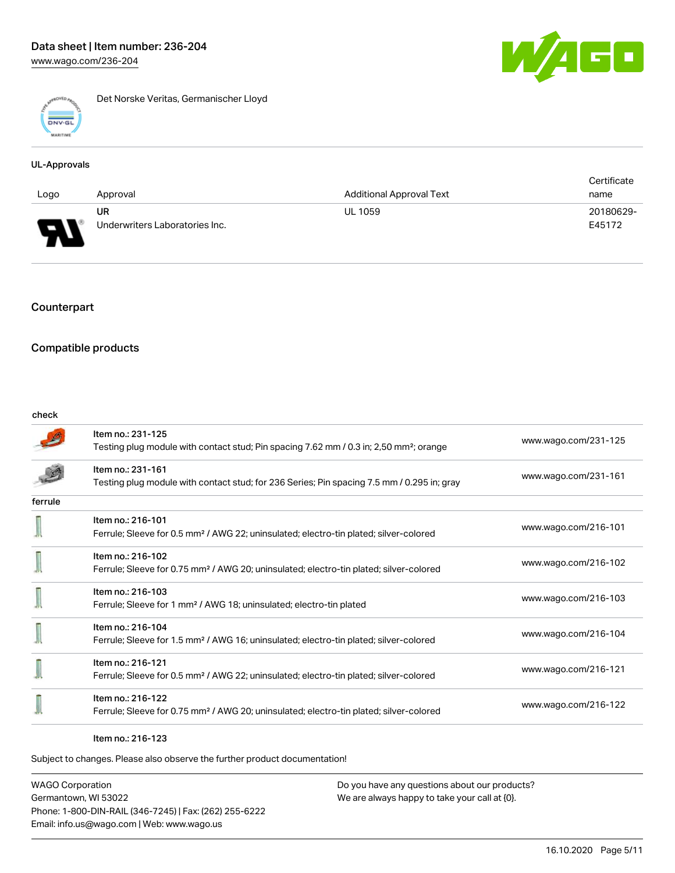

Det Norske Veritas, Germanischer Lloyd

#### UL-Approvals

|                                               |                                |                                 | Certificate |
|-----------------------------------------------|--------------------------------|---------------------------------|-------------|
| Logo                                          | Approval                       | <b>Additional Approval Text</b> | name        |
|                                               | UR                             | <b>UL 1059</b>                  | 20180629-   |
| Б<br>$\mathbf{u}$<br>$\overline{\phantom{a}}$ | Underwriters Laboratories Inc. |                                 | E45172      |

### Counterpart

### Compatible products

#### check

|         | Item no.: 231-125<br>Testing plug module with contact stud; Pin spacing 7.62 mm / 0.3 in; 2,50 mm <sup>2</sup> ; orange | www.wago.com/231-125 |
|---------|-------------------------------------------------------------------------------------------------------------------------|----------------------|
|         | Item no.: 231-161<br>Testing plug module with contact stud; for 236 Series; Pin spacing 7.5 mm / 0.295 in; gray         | www.wago.com/231-161 |
| ferrule |                                                                                                                         |                      |
|         | Item no.: 216-101<br>Ferrule; Sleeve for 0.5 mm <sup>2</sup> / AWG 22; uninsulated; electro-tin plated; silver-colored  | www.wago.com/216-101 |
|         | Item no.: 216-102<br>Ferrule; Sleeve for 0.75 mm <sup>2</sup> / AWG 20; uninsulated; electro-tin plated; silver-colored | www.wago.com/216-102 |
|         | Item no.: 216-103<br>Ferrule; Sleeve for 1 mm <sup>2</sup> / AWG 18; uninsulated; electro-tin plated                    | www.wago.com/216-103 |
|         | Item no.: 216-104<br>Ferrule; Sleeve for 1.5 mm <sup>2</sup> / AWG 16; uninsulated; electro-tin plated; silver-colored  | www.wago.com/216-104 |
|         | Item no.: 216-121<br>Ferrule; Sleeve for 0.5 mm <sup>2</sup> / AWG 22; uninsulated; electro-tin plated; silver-colored  | www.wago.com/216-121 |
|         | Item no.: 216-122<br>Ferrule; Sleeve for 0.75 mm <sup>2</sup> / AWG 20; uninsulated; electro-tin plated; silver-colored | www.wago.com/216-122 |

#### Item no.: 216-123

Subject to changes. Please also observe the further product documentation!

WAGO Corporation Germantown, WI 53022 Phone: 1-800-DIN-RAIL (346-7245) | Fax: (262) 255-6222 Email: info.us@wago.com | Web: www.wago.us

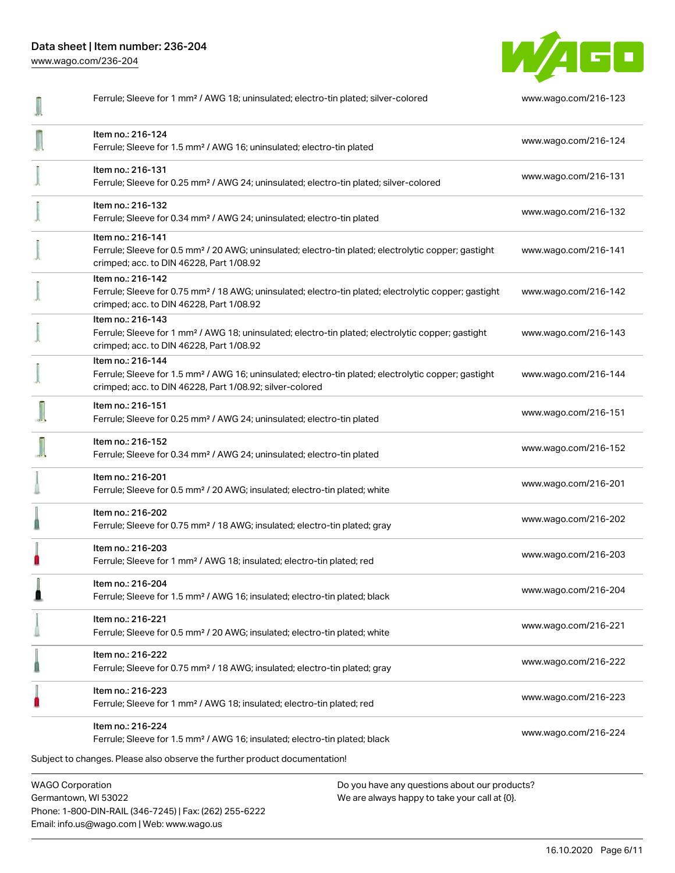[www.wago.com/236-204](http://www.wago.com/236-204)



| Ferrule; Sleeve for 1 mm <sup>2</sup> / AWG 18; uninsulated; electro-tin plated; silver-colored                                                                                                   | www.wago.com/216-123 |
|---------------------------------------------------------------------------------------------------------------------------------------------------------------------------------------------------|----------------------|
| Item no.: 216-124<br>Ferrule; Sleeve for 1.5 mm <sup>2</sup> / AWG 16; uninsulated; electro-tin plated                                                                                            | www.wago.com/216-124 |
| Item no.: 216-131<br>Ferrule; Sleeve for 0.25 mm <sup>2</sup> / AWG 24; uninsulated; electro-tin plated; silver-colored                                                                           | www.wago.com/216-131 |
| Item no.: 216-132<br>Ferrule; Sleeve for 0.34 mm <sup>2</sup> / AWG 24; uninsulated; electro-tin plated                                                                                           | www.wago.com/216-132 |
| Item no.: 216-141<br>Ferrule; Sleeve for 0.5 mm <sup>2</sup> / 20 AWG; uninsulated; electro-tin plated; electrolytic copper; gastight<br>crimped; acc. to DIN 46228, Part 1/08.92                 | www.wago.com/216-141 |
| Item no.: 216-142<br>Ferrule; Sleeve for 0.75 mm <sup>2</sup> / 18 AWG; uninsulated; electro-tin plated; electrolytic copper; gastight<br>crimped; acc. to DIN 46228, Part 1/08.92                | www.wago.com/216-142 |
| Item no.: 216-143<br>Ferrule; Sleeve for 1 mm <sup>2</sup> / AWG 18; uninsulated; electro-tin plated; electrolytic copper; gastight<br>crimped; acc. to DIN 46228, Part 1/08.92                   | www.wago.com/216-143 |
| Item no.: 216-144<br>Ferrule; Sleeve for 1.5 mm <sup>2</sup> / AWG 16; uninsulated; electro-tin plated; electrolytic copper; gastight<br>crimped; acc. to DIN 46228, Part 1/08.92; silver-colored | www.wago.com/216-144 |
| Item no.: 216-151<br>Ferrule; Sleeve for 0.25 mm <sup>2</sup> / AWG 24; uninsulated; electro-tin plated                                                                                           | www.wago.com/216-151 |
| Item no.: 216-152<br>Ferrule; Sleeve for 0.34 mm <sup>2</sup> / AWG 24; uninsulated; electro-tin plated                                                                                           | www.wago.com/216-152 |
| Item no.: 216-201<br>Ferrule; Sleeve for 0.5 mm <sup>2</sup> / 20 AWG; insulated; electro-tin plated; white                                                                                       | www.wago.com/216-201 |
| Item no.: 216-202<br>Ferrule; Sleeve for 0.75 mm <sup>2</sup> / 18 AWG; insulated; electro-tin plated; gray                                                                                       | www.wago.com/216-202 |
| Item no.: 216-203<br>Ferrule; Sleeve for 1 mm <sup>2</sup> / AWG 18; insulated; electro-tin plated; red                                                                                           | www.wago.com/216-203 |
| Item no.: 216-204<br>Ferrule; Sleeve for 1.5 mm <sup>2</sup> / AWG 16; insulated; electro-tin plated; black                                                                                       | www.wago.com/216-204 |
| Item no.: 216-221<br>Ferrule; Sleeve for 0.5 mm <sup>2</sup> / 20 AWG; insulated; electro-tin plated; white                                                                                       | www.wago.com/216-221 |
| Item no.: 216-222<br>Ferrule; Sleeve for 0.75 mm <sup>2</sup> / 18 AWG; insulated; electro-tin plated; gray                                                                                       | www.wago.com/216-222 |
| Item no.: 216-223<br>Ferrule; Sleeve for 1 mm <sup>2</sup> / AWG 18; insulated; electro-tin plated; red                                                                                           | www.wago.com/216-223 |
| Item no.: 216-224<br>Ferrule; Sleeve for 1.5 mm <sup>2</sup> / AWG 16; insulated; electro-tin plated; black<br>Subject to changes. Please also observe the further product documentation!         | www.wago.com/216-224 |
|                                                                                                                                                                                                   |                      |

WAGO Corporation Germantown, WI 53022 Phone: 1-800-DIN-RAIL (346-7245) | Fax: (262) 255-6222 Email: info.us@wago.com | Web: www.wago.us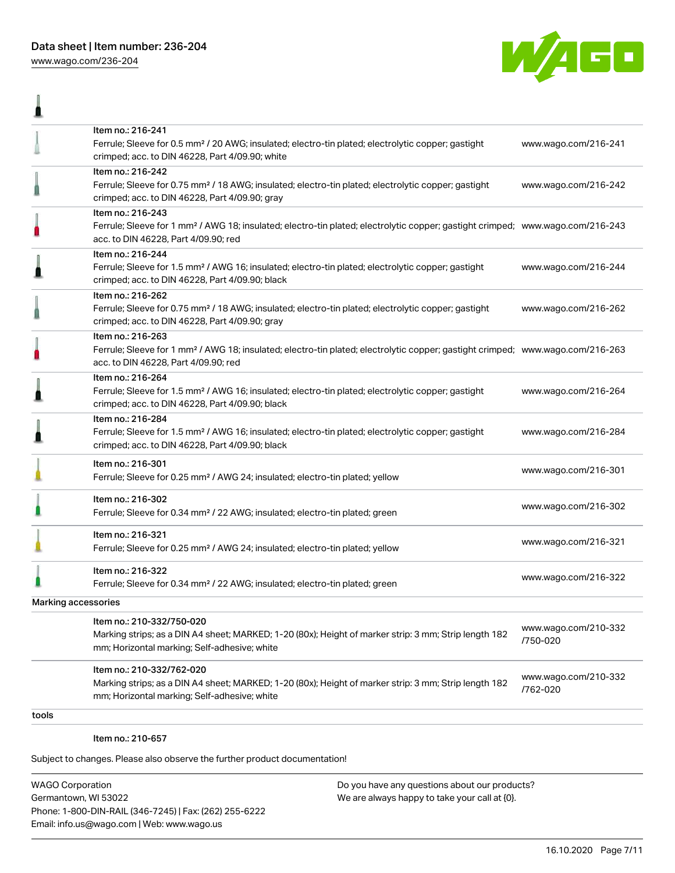[www.wago.com/236-204](http://www.wago.com/236-204)

Ä



| Item no.: 216-241<br>Ferrule; Sleeve for 0.5 mm <sup>2</sup> / 20 AWG; insulated; electro-tin plated; electrolytic copper; gastight<br>crimped; acc. to DIN 46228, Part 4/09.90; white                  | www.wago.com/216-241             |
|---------------------------------------------------------------------------------------------------------------------------------------------------------------------------------------------------------|----------------------------------|
| Item no.: 216-242<br>Ferrule; Sleeve for 0.75 mm <sup>2</sup> / 18 AWG; insulated; electro-tin plated; electrolytic copper; gastight<br>crimped; acc. to DIN 46228, Part 4/09.90; gray                  | www.wago.com/216-242             |
| Item no.: 216-243<br>Ferrule; Sleeve for 1 mm <sup>2</sup> / AWG 18; insulated; electro-tin plated; electrolytic copper; gastight crimped; www.wago.com/216-243<br>acc. to DIN 46228, Part 4/09.90; red |                                  |
| Item no.: 216-244<br>Ferrule; Sleeve for 1.5 mm <sup>2</sup> / AWG 16; insulated; electro-tin plated; electrolytic copper; gastight<br>crimped; acc. to DIN 46228, Part 4/09.90; black                  | www.wago.com/216-244             |
| Item no.: 216-262<br>Ferrule; Sleeve for 0.75 mm <sup>2</sup> / 18 AWG; insulated; electro-tin plated; electrolytic copper; gastight<br>crimped; acc. to DIN 46228, Part 4/09.90; gray                  | www.wago.com/216-262             |
| Item no.: 216-263<br>Ferrule; Sleeve for 1 mm <sup>2</sup> / AWG 18; insulated; electro-tin plated; electrolytic copper; gastight crimped; www.wago.com/216-263<br>acc. to DIN 46228, Part 4/09.90; red |                                  |
| Item no.: 216-264<br>Ferrule; Sleeve for 1.5 mm <sup>2</sup> / AWG 16; insulated; electro-tin plated; electrolytic copper; gastight<br>crimped; acc. to DIN 46228, Part 4/09.90; black                  | www.wago.com/216-264             |
| Item no.: 216-284<br>Ferrule; Sleeve for 1.5 mm <sup>2</sup> / AWG 16; insulated; electro-tin plated; electrolytic copper; gastight<br>crimped; acc. to DIN 46228, Part 4/09.90; black                  | www.wago.com/216-284             |
| Item no.: 216-301<br>Ferrule; Sleeve for 0.25 mm <sup>2</sup> / AWG 24; insulated; electro-tin plated; yellow                                                                                           | www.wago.com/216-301             |
| Item no.: 216-302<br>Ferrule; Sleeve for 0.34 mm <sup>2</sup> / 22 AWG; insulated; electro-tin plated; green                                                                                            | www.wago.com/216-302             |
| Item no.: 216-321<br>Ferrule; Sleeve for 0.25 mm <sup>2</sup> / AWG 24; insulated; electro-tin plated; yellow                                                                                           | www.wago.com/216-321             |
| Item no.: 216-322<br>Ferrule; Sleeve for 0.34 mm <sup>2</sup> / 22 AWG; insulated; electro-tin plated; green                                                                                            | www.wago.com/216-322             |
| Marking accessories                                                                                                                                                                                     |                                  |
| Item no.: 210-332/750-020<br>Marking strips; as a DIN A4 sheet; MARKED; 1-20 (80x); Height of marker strip: 3 mm; Strip length 182<br>mm; Horizontal marking; Self-adhesive; white                      | www.wago.com/210-332<br>/750-020 |
| Item no.: 210-332/762-020<br>Marking strips; as a DIN A4 sheet; MARKED; 1-20 (80x); Height of marker strip: 3 mm; Strip length 182<br>mm; Horizontal marking; Self-adhesive; white                      | www.wago.com/210-332<br>/762-020 |
|                                                                                                                                                                                                         |                                  |

tools

Item no.: 210-657

Subject to changes. Please also observe the further product documentation!

WAGO Corporation Germantown, WI 53022 Phone: 1-800-DIN-RAIL (346-7245) | Fax: (262) 255-6222 Email: info.us@wago.com | Web: www.wago.us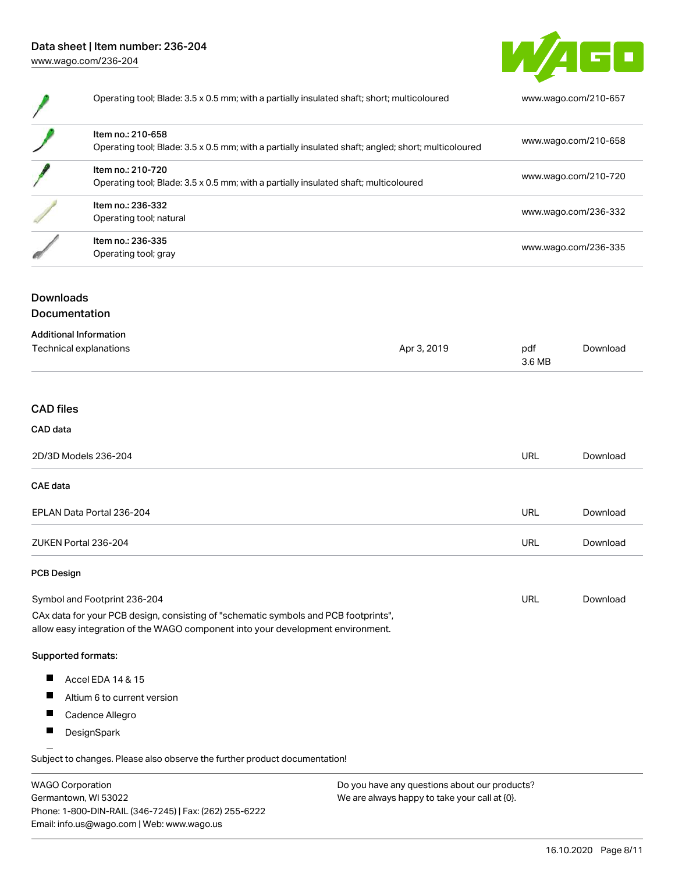

| Operating tool; Blade: 3.5 x 0.5 mm; with a partially insulated shaft; short; multicoloured                              | www.wago.com/210-657 |
|--------------------------------------------------------------------------------------------------------------------------|----------------------|
| Item no.: 210-658<br>Operating tool; Blade: 3.5 x 0.5 mm; with a partially insulated shaft; angled; short; multicoloured | www.wago.com/210-658 |
| Item no.: 210-720<br>Operating tool; Blade: 3.5 x 0.5 mm; with a partially insulated shaft; multicoloured                | www.wago.com/210-720 |
| Item no.: 236-332<br>Operating tool; natural                                                                             | www.wago.com/236-332 |
| Item no.: 236-335<br>Operating tool; gray                                                                                | www.wago.com/236-335 |

## Downloads Documentation

| <b>Additional Information</b> |             |               |          |
|-------------------------------|-------------|---------------|----------|
| Technical explanations        | Apr 3, 2019 | pdf<br>3.6 MB | Download |
|                               |             |               |          |

## CAD files

## CAD data

| 2D/3D Models 236-204      | URL | Download |
|---------------------------|-----|----------|
| <b>CAE data</b>           |     |          |
| EPLAN Data Portal 236-204 | URL | Download |
| ZUKEN Portal 236-204      | URL | Download |

#### PCB Design

| Symbol and Footprint 236-204                                                        | URL | Download |
|-------------------------------------------------------------------------------------|-----|----------|
| CAx data for your PCB design, consisting of "schematic symbols and PCB footprints", |     |          |

allow easy integration of the WAGO component into your development environment.

#### Supported formats:

- $\blacksquare$ Accel EDA 14 & 15
- $\blacksquare$ Altium 6 to current version
- $\blacksquare$ Cadence Allegro
- $\blacksquare$ **DesignSpark**

Subject to changes. Please also observe the further product documentation! Eagle Libraries

| <b>WAGO Corporation</b>                                | Do you have any questions about our products? |
|--------------------------------------------------------|-----------------------------------------------|
| Germantown, WI 53022                                   | We are always happy to take your call at {0}. |
| Phone: 1-800-DIN-RAIL (346-7245)   Fax: (262) 255-6222 |                                               |
| Email: info.us@wago.com   Web: www.wago.us             |                                               |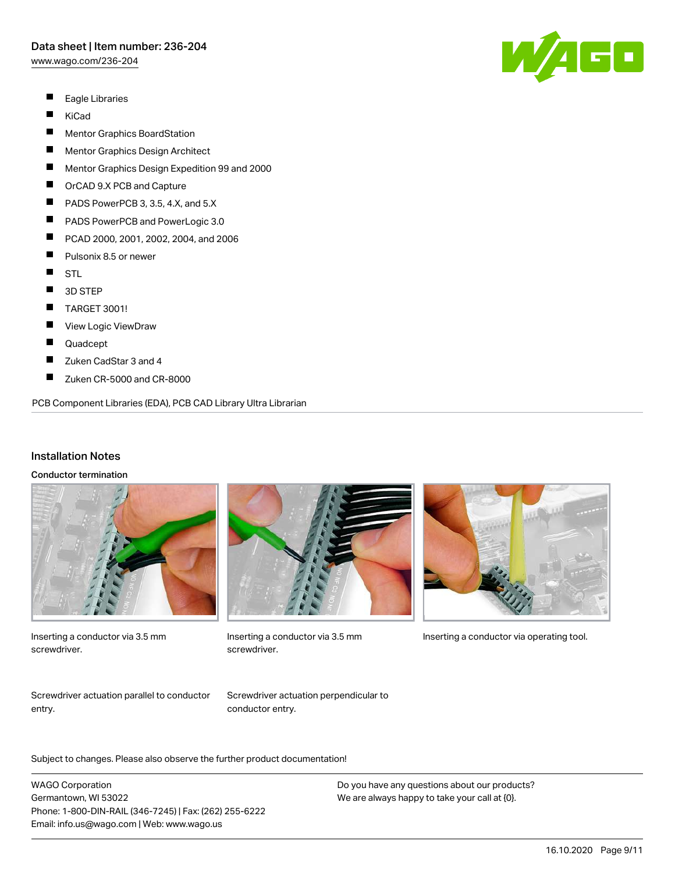[www.wago.com/236-204](http://www.wago.com/236-204)

- $\blacksquare$ Eagle Libraries
- $\blacksquare$ KiCad
- $\blacksquare$ Mentor Graphics BoardStation
- $\blacksquare$ Mentor Graphics Design Architect
- П Mentor Graphics Design Expedition 99 and 2000
- П OrCAD 9.X PCB and Capture
- П PADS PowerPCB 3, 3.5, 4.X, and 5.X
- $\blacksquare$ PADS PowerPCB and PowerLogic 3.0
- $\blacksquare$ PCAD 2000, 2001, 2002, 2004, and 2006
- $\blacksquare$ Pulsonix 8.5 or newer
- $\blacksquare$ STL
- $\blacksquare$ 3D STEP
- $\blacksquare$ TARGET 3001!
- $\blacksquare$ View Logic ViewDraw
- П Quadcept
- П Zuken CadStar 3 and 4
- $\blacksquare$ Zuken CR-5000 and CR-8000

PCB Component Libraries (EDA), PCB CAD Library Ultra Librarian

#### Installation Notes

#### Conductor termination



Inserting a conductor via 3.5 mm screwdriver.



screwdriver.



Inserting a conductor via 3.5 mm Inserting a conductor via operating tool.

Screwdriver actuation parallel to conductor entry.

Screwdriver actuation perpendicular to conductor entry.

Subject to changes. Please also observe the further product documentation!

WAGO Corporation Germantown, WI 53022 Phone: 1-800-DIN-RAIL (346-7245) | Fax: (262) 255-6222 Email: info.us@wago.com | Web: www.wago.us

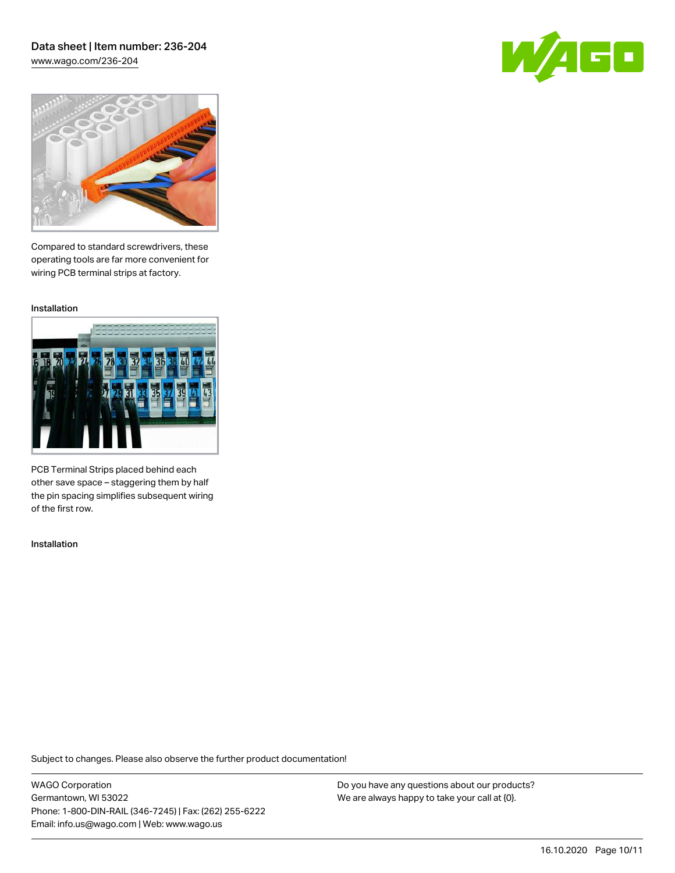### Data sheet | Item number: 236-204 [www.wago.com/236-204](http://www.wago.com/236-204)

GO



Compared to standard screwdrivers, these operating tools are far more convenient for wiring PCB terminal strips at factory.

Installation



PCB Terminal Strips placed behind each other save space – staggering them by half the pin spacing simplifies subsequent wiring of the first row.

Installation

Subject to changes. Please also observe the further product documentation!

WAGO Corporation Germantown, WI 53022 Phone: 1-800-DIN-RAIL (346-7245) | Fax: (262) 255-6222 Email: info.us@wago.com | Web: www.wago.us